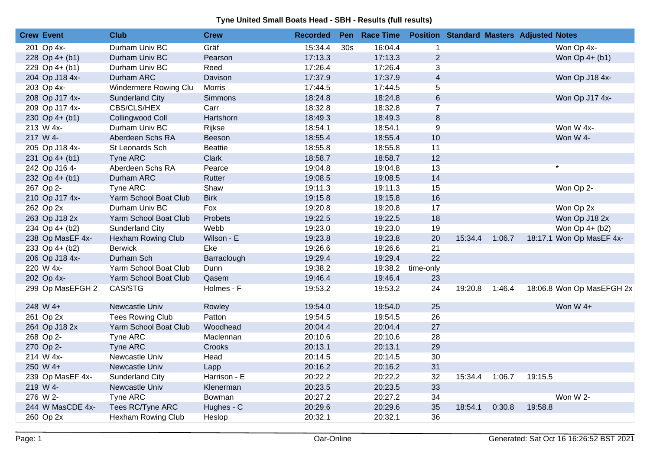| <b>Crew Event</b> | <b>Club</b>               | <b>Crew</b>    | <b>Recorded</b> |     | Pen Race Time |                | <b>Position Standard Masters Adjusted Notes</b> |        |         |                           |
|-------------------|---------------------------|----------------|-----------------|-----|---------------|----------------|-------------------------------------------------|--------|---------|---------------------------|
| 201 Op 4x-        | Durham Univ BC            | Gräf           | 15:34.4         | 30s | 16:04.4       | $\mathbf{1}$   |                                                 |        |         | Won Op 4x-                |
| 228 Op $4+ (b1)$  | Durham Univ BC            | Pearson        | 17:13.3         |     | 17:13.3       | $\overline{2}$ |                                                 |        |         | Won Op 4+ (b1)            |
| 229 Op 4+ (b1)    | Durham Univ BC            | Reed           | 17:26.4         |     | 17:26.4       | 3              |                                                 |        |         |                           |
| 204 Op J18 4x-    | Durham ARC                | Davison        | 17:37.9         |     | 17:37.9       | $\overline{4}$ |                                                 |        |         | Won Op J18 4x-            |
| 203 Op 4x-        | Windermere Rowing Clu     | <b>Morris</b>  | 17:44.5         |     | 17:44.5       | 5              |                                                 |        |         |                           |
| 208 Op J17 4x-    | <b>Sunderland City</b>    | Simmons        | 18:24.8         |     | 18:24.8       | $\,6\,$        |                                                 |        |         | Won Op J17 4x-            |
| 209 Op J17 4x-    | CBS/CLS/HEX               | Carr           | 18:32.8         |     | 18:32.8       | $\overline{7}$ |                                                 |        |         |                           |
| 230 Op $4+ (b1)$  | Collingwood Coll          | Hartshorn      | 18:49.3         |     | 18:49.3       | 8              |                                                 |        |         |                           |
| 213 W 4x-         | Durham Univ BC            | Rijkse         | 18:54.1         |     | 18:54.1       | 9              |                                                 |        |         | Won W 4x-                 |
| 217 W 4-          | Aberdeen Schs RA          | Beeson         | 18:55.4         |     | 18:55.4       | 10             |                                                 |        |         | Won W 4-                  |
| 205 Op J18 4x-    | St Leonards Sch           | <b>Beattie</b> | 18:55.8         |     | 18:55.8       | 11             |                                                 |        |         |                           |
| 231 Op $4+ (b1)$  | Tyne ARC                  | Clark          | 18:58.7         |     | 18:58.7       | 12             |                                                 |        |         |                           |
| 242 Op J16 4-     | Aberdeen Schs RA          | Pearce         | 19:04.8         |     | 19:04.8       | 13             |                                                 |        |         | $\star$                   |
| 232 Op $4+ (b1)$  | Durham ARC                | Rutter         | 19:08.5         |     | 19:08.5       | 14             |                                                 |        |         |                           |
| 267 Op 2-         | Tyne ARC                  | Shaw           | 19:11.3         |     | 19:11.3       | 15             |                                                 |        |         | Won Op 2-                 |
| 210 Op J17 4x-    | Yarm School Boat Club     | <b>Birk</b>    | 19:15.8         |     | 19:15.8       | 16             |                                                 |        |         |                           |
| 262 Op 2x         | Durham Univ BC            | Fox            | 19:20.8         |     | 19:20.8       | 17             |                                                 |        |         | Won Op 2x                 |
| 263 Op J18 2x     | Yarm School Boat Club     | Probets        | 19:22.5         |     | 19:22.5       | 18             |                                                 |        |         | Won Op J18 2x             |
| 234 Op 4+ (b2)    | Sunderland City           | Webb           | 19:23.0         |     | 19:23.0       | 19             |                                                 |        |         | Won Op 4+ (b2)            |
| 238 Op MasEF 4x-  | <b>Hexham Rowing Club</b> | Wilson - E     | 19:23.8         |     | 19:23.8       | 20             | 15:34.4                                         | 1:06.7 |         | 18:17.1 Won Op MasEF 4x-  |
| 233 Op 4+ (b2)    | <b>Berwick</b>            | Eke            | 19:26.6         |     | 19:26.6       | 21             |                                                 |        |         |                           |
| 206 Op J18 4x-    | Durham Sch                | Barraclough    | 19:29.4         |     | 19:29.4       | 22             |                                                 |        |         |                           |
| 220 W 4x-         | Yarm School Boat Club     | Dunn           | 19:38.2         |     | 19:38.2       | time-only      |                                                 |        |         |                           |
| 202 Op 4x-        | Yarm School Boat Club     | Qasem          | 19:46.4         |     | 19:46.4       | 23             |                                                 |        |         |                           |
| 299 Op MasEFGH 2  | CAS/STG                   | Holmes - F     | 19:53.2         |     | 19:53.2       | 24             | 19:20.8                                         | 1:46.4 |         | 18:06.8 Won Op MasEFGH 2x |
| 248 W 4+          | Newcastle Univ            | Rowley         | 19:54.0         |     | 19:54.0       | 25             |                                                 |        |         | Won W 4+                  |
| 261 Op 2x         | <b>Tees Rowing Club</b>   | Patton         | 19:54.5         |     | 19:54.5       | 26             |                                                 |        |         |                           |
| 264 Op J18 2x     | Yarm School Boat Club     | Woodhead       | 20:04.4         |     | 20:04.4       | 27             |                                                 |        |         |                           |
| 268 Op 2-         | Tyne ARC                  | Maclennan      | 20:10.6         |     | 20:10.6       | 28             |                                                 |        |         |                           |
| 270 Op 2-         | Tyne ARC                  | Crooks         | 20:13.1         |     | 20:13.1       | 29             |                                                 |        |         |                           |
| 214 W 4x-         | Newcastle Univ            | Head           | 20:14.5         |     | 20:14.5       | 30             |                                                 |        |         |                           |
| 250 W 4+          | Newcastle Univ            | Lapp           | 20:16.2         |     | 20:16.2       | 31             |                                                 |        |         |                           |
| 239 Op MasEF 4x-  | Sunderland City           | Harrison - E   | 20:22.2         |     | 20:22.2       | 32             | 15:34.4                                         | 1:06.7 | 19:15.5 |                           |
| 219 W 4-          | Newcastle Univ            | Klenerman      | 20:23.5         |     | 20:23.5       | 33             |                                                 |        |         |                           |
| 276 W 2-          | Tyne ARC                  | <b>Bowman</b>  | 20:27.2         |     | 20:27.2       | 34             |                                                 |        |         | Won W 2-                  |
| 244 W MasCDE 4x-  | Tees RC/Tyne ARC          | Hughes - C     | 20:29.6         |     | 20:29.6       | 35             | 18:54.1                                         | 0:30.8 | 19:58.8 |                           |
| 260 Op 2x         | Hexham Rowing Club        | Heslop         | 20:32.1         |     | 20:32.1       | 36             |                                                 |        |         |                           |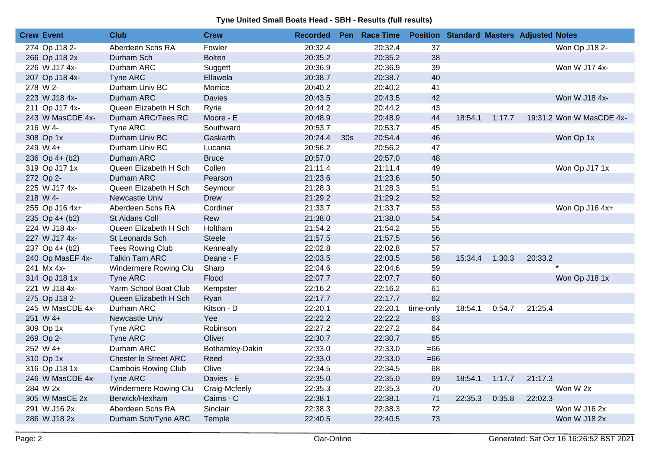| <b>Crew Event</b> | <b>Club</b>                  | <b>Crew</b>     | <b>Recorded</b> |                 | Pen Race Time |           |         |        | <b>Position Standard Masters Adjusted Notes</b> |
|-------------------|------------------------------|-----------------|-----------------|-----------------|---------------|-----------|---------|--------|-------------------------------------------------|
| 274 Op J18 2-     | Aberdeen Schs RA             | Fowler          | 20:32.4         |                 | 20:32.4       | 37        |         |        | Won Op J18 2-                                   |
| 266 Op J18 2x     | Durham Sch                   | <b>Bolten</b>   | 20:35.2         |                 | 20:35.2       | 38        |         |        |                                                 |
| 226 W J17 4x-     | Durham ARC                   | Suggett         | 20:36.9         |                 | 20:36.9       | 39        |         |        | Won W J17 4x-                                   |
| 207 Op J18 4x-    | <b>Tyne ARC</b>              | Ellawela        | 20:38.7         |                 | 20:38.7       | 40        |         |        |                                                 |
| 278 W 2-          | Durham Univ BC               | Morrice         | 20:40.2         |                 | 20:40.2       | 41        |         |        |                                                 |
| 223 W J18 4x-     | Durham ARC                   | <b>Davies</b>   | 20:43.5         |                 | 20:43.5       | 42        |         |        | Won W J18 4x-                                   |
| 211 Op J17 4x-    | Queen Elizabeth H Sch        | Ryrie           | 20:44.2         |                 | 20:44.2       | 43        |         |        |                                                 |
| 243 W MasCDE 4x-  | Durham ARC/Tees RC           | Moore - E       | 20:48.9         |                 | 20:48.9       | 44        | 18:54.1 | 1:17.7 | 19:31.2 Won W MasCDE 4x-                        |
| 216 W 4-          | Tyne ARC                     | Southward       | 20:53.7         |                 | 20:53.7       | 45        |         |        |                                                 |
| 308 Op 1x         | Durham Univ BC               | Gaskarth        | 20:24.4         | 30 <sub>s</sub> | 20:54.4       | 46        |         |        | Won Op 1x                                       |
| 249 W 4+          | Durham Univ BC               | Lucania         | 20:56.2         |                 | 20:56.2       | 47        |         |        |                                                 |
| 236 Op 4+ (b2)    | Durham ARC                   | <b>Bruce</b>    | 20:57.0         |                 | 20:57.0       | 48        |         |        |                                                 |
| 319 Op J17 1x     | Queen Elizabeth H Sch        | Collen          | 21:11.4         |                 | 21:11.4       | 49        |         |        | Won Op J17 1x                                   |
| 272 Op 2-         | Durham ARC                   | Pearson         | 21:23.6         |                 | 21:23.6       | 50        |         |        |                                                 |
| 225 W J17 4x-     | Queen Elizabeth H Sch        | Seymour         | 21:28.3         |                 | 21:28.3       | 51        |         |        |                                                 |
| 218 W 4-          | Newcastle Univ               | Drew            | 21:29.2         |                 | 21:29.2       | 52        |         |        |                                                 |
| 255 Op J16 4x+    | Aberdeen Schs RA             | Cordiner        | 21:33.7         |                 | 21:33.7       | 53        |         |        | Won Op J16 4x+                                  |
| 235 Op 4+ (b2)    | St Aidans Coll               | Rew             | 21:38.0         |                 | 21:38.0       | 54        |         |        |                                                 |
| 224 W J18 4x-     | Queen Elizabeth H Sch        | Holtham         | 21:54.2         |                 | 21:54.2       | 55        |         |        |                                                 |
| 227 W J17 4x-     | St Leonards Sch              | <b>Steele</b>   | 21:57.5         |                 | 21:57.5       | 56        |         |        |                                                 |
| 237 Op 4+ (b2)    | <b>Tees Rowing Club</b>      | Kenneally       | 22:02.8         |                 | 22:02.8       | 57        |         |        |                                                 |
| 240 Op MasEF 4x-  | <b>Talkin Tarn ARC</b>       | Deane - F       | 22:03.5         |                 | 22:03.5       | 58        | 15:34.4 | 1:30.3 | 20:33.2                                         |
| 241 Mx 4x-        | Windermere Rowing Clu        | Sharp           | 22:04.6         |                 | 22:04.6       | 59        |         |        |                                                 |
| 314 Op J18 1x     | Tyne ARC                     | Flood           | 22:07.7         |                 | 22:07.7       | 60        |         |        | Won Op J18 1x                                   |
| 221 W J18 4x-     | Yarm School Boat Club        | Kempster        | 22:16.2         |                 | 22:16.2       | 61        |         |        |                                                 |
| 275 Op J18 2-     | Queen Elizabeth H Sch        | Ryan            | 22:17.7         |                 | 22:17.7       | 62        |         |        |                                                 |
| 245 W MasCDE 4x-  | Durham ARC                   | Kitson - D      | 22:20.1         |                 | 22:20.1       | time-only | 18:54.1 | 0:54.7 | 21:25.4                                         |
| 251 W 4+          | Newcastle Univ               | Yee             | 22:22.2         |                 | 22:22.2       | 63        |         |        |                                                 |
| 309 Op 1x         | Tyne ARC                     | Robinson        | 22:27.2         |                 | 22:27.2       | 64        |         |        |                                                 |
| 269 Op 2-         | Tyne ARC                     | Oliver          | 22:30.7         |                 | 22:30.7       | 65        |         |        |                                                 |
| 252 W 4+          | Durham ARC                   | Bothamley-Dakin | 22:33.0         |                 | 22:33.0       | $=66$     |         |        |                                                 |
| 310 Op 1x         | <b>Chester le Street ARC</b> | Reed            | 22:33.0         |                 | 22:33.0       | $=66$     |         |        |                                                 |
| 316 Op J18 1x     | <b>Cambois Rowing Club</b>   | Olive           | 22:34.5         |                 | 22:34.5       | 68        |         |        |                                                 |
| 246 W MasCDE 4x-  | <b>Tyne ARC</b>              | Davies - E      | 22:35.0         |                 | 22:35.0       | 69        | 18:54.1 | 1:17.7 | 21:17.3                                         |
| 284 W 2x          | Windermere Rowing Clu        | Craig-Mcfeely   | 22:35.3         |                 | 22:35.3       | 70        |         |        | Won W 2x                                        |
| 305 W MasCE 2x    | Berwick/Hexham               | Cairns - C      | 22:38.1         |                 | 22:38.1       | 71        | 22:35.3 | 0:35.8 | 22:02.3                                         |
| 291 W J16 2x      | Aberdeen Schs RA             | Sinclair        | 22:38.3         |                 | 22:38.3       | 72        |         |        | Won W J16 2x                                    |
| 286 W J18 2x      | Durham Sch/Tyne ARC          | Temple          | 22:40.5         |                 | 22:40.5       | 73        |         |        | Won W J18 2x                                    |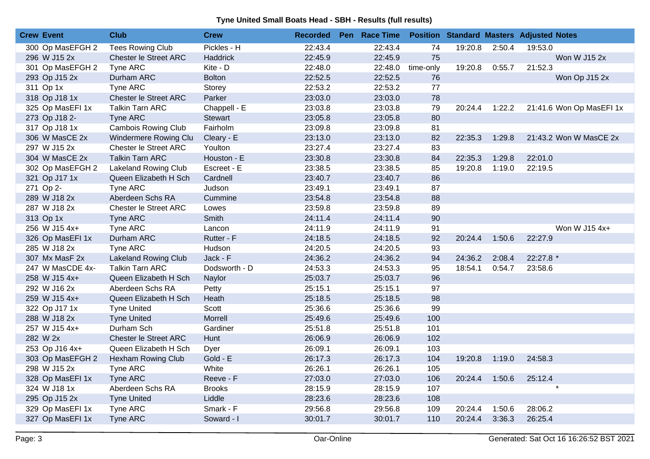| <b>Crew Event</b> | <b>Club</b>                 | <b>Crew</b>     | <b>Recorded</b> | Pen Race Time |           |         |        | <b>Position Standard Masters Adjusted Notes</b> |
|-------------------|-----------------------------|-----------------|-----------------|---------------|-----------|---------|--------|-------------------------------------------------|
| 300 Op MasEFGH 2  | <b>Tees Rowing Club</b>     | Pickles - H     | 22:43.4         | 22:43.4       | 74        | 19:20.8 | 2:50.4 | 19:53.0                                         |
| 296 W J15 2x      | Chester le Street ARC       | <b>Haddrick</b> | 22:45.9         | 22:45.9       | 75        |         |        | Won W J15 2x                                    |
| 301 Op MasEFGH 2  | Tyne ARC                    | Kite - D        | 22:48.0         | 22:48.0       | time-only | 19:20.8 | 0:55.7 | 21:52.3                                         |
| 293 Op J15 2x     | Durham ARC                  | <b>Bolton</b>   | 22:52.5         | 22:52.5       | 76        |         |        | Won Op J15 2x                                   |
| 311 Op 1x         | Tyne ARC                    | Storey          | 22:53.2         | 22:53.2       | 77        |         |        |                                                 |
| 318 Op J18 1x     | Chester le Street ARC       | Parker          | 23:03.0         | 23:03.0       | 78        |         |        |                                                 |
| 325 Op MasEFI 1x  | <b>Talkin Tarn ARC</b>      | Chappell - E    | 23:03.8         | 23:03.8       | 79        | 20:24.4 | 1:22.2 | 21:41.6 Won Op MasEFI 1x                        |
| 273 Op J18 2-     | Tyne ARC                    | Stewart         | 23:05.8         | 23:05.8       | 80        |         |        |                                                 |
| 317 Op J18 1x     | <b>Cambois Rowing Club</b>  | Fairholm        | 23:09.8         | 23:09.8       | 81        |         |        |                                                 |
| 306 W MasCE 2x    | Windermere Rowing Clu       | Cleary - E      | 23:13.0         | 23:13.0       | 82        | 22:35.3 | 1:29.8 | 21:43.2 Won W MasCE 2x                          |
| 297 W J15 2x      | Chester le Street ARC       | Youlton         | 23:27.4         | 23:27.4       | 83        |         |        |                                                 |
| 304 W MasCE 2x    | <b>Talkin Tarn ARC</b>      | Houston - E     | 23:30.8         | 23:30.8       | 84        | 22:35.3 | 1:29.8 | 22:01.0                                         |
| 302 Op MasEFGH 2  | Lakeland Rowing Club        | Escreet - E     | 23:38.5         | 23:38.5       | 85        | 19:20.8 | 1:19.0 | 22:19.5                                         |
| 321 Op J17 1x     | Queen Elizabeth H Sch       | Cardnell        | 23:40.7         | 23:40.7       | 86        |         |        |                                                 |
| 271 Op 2-         | Tyne ARC                    | Judson          | 23:49.1         | 23:49.1       | 87        |         |        |                                                 |
| 289 W J18 2x      | Aberdeen Schs RA            | Cummine         | 23:54.8         | 23:54.8       | 88        |         |        |                                                 |
| 287 W J18 2x      | Chester le Street ARC       | Lowes           | 23:59.8         | 23:59.8       | 89        |         |        |                                                 |
| 313 Op 1x         | Tyne ARC                    | Smith           | 24:11.4         | 24:11.4       | 90        |         |        |                                                 |
| 256 W J15 4x+     | Tyne ARC                    | Lancon          | 24:11.9         | 24:11.9       | 91        |         |        | Won W J15 4x+                                   |
| 326 Op MasEFI 1x  | Durham ARC                  | Rutter - F      | 24:18.5         | 24:18.5       | 92        | 20:24.4 | 1:50.6 | 22:27.9                                         |
| 285 W J18 2x      | Tyne ARC                    | Hudson          | 24:20.5         | 24:20.5       | 93        |         |        |                                                 |
| 307 Mx MasF 2x    | <b>Lakeland Rowing Club</b> | Jack - F        | 24:36.2         | 24:36.2       | 94        | 24:36.2 | 2:08.4 | 22:27.8 *                                       |
| 247 W MasCDE 4x-  | <b>Talkin Tarn ARC</b>      | Dodsworth - D   | 24:53.3         | 24:53.3       | 95        | 18:54.1 | 0:54.7 | 23:58.6                                         |
| 258 W J15 4x+     | Queen Elizabeth H Sch       | Naylor          | 25:03.7         | 25:03.7       | 96        |         |        |                                                 |
| 292 W J16 2x      | Aberdeen Schs RA            | Petty           | 25:15.1         | 25:15.1       | 97        |         |        |                                                 |
| 259 W J15 4x+     | Queen Elizabeth H Sch       | Heath           | 25:18.5         | 25:18.5       | 98        |         |        |                                                 |
| 322 Op J17 1x     | <b>Tyne United</b>          | Scott           | 25:36.6         | 25:36.6       | 99        |         |        |                                                 |
| 288 W J18 2x      | <b>Tyne United</b>          | Morrell         | 25:49.6         | 25:49.6       | 100       |         |        |                                                 |
| 257 W J15 4x+     | Durham Sch                  | Gardiner        | 25:51.8         | 25:51.8       | 101       |         |        |                                                 |
| 282 W 2x          | Chester le Street ARC       | Hunt            | 26:06.9         | 26:06.9       | 102       |         |        |                                                 |
| 253 Op J16 4x+    | Queen Elizabeth H Sch       | Dyer            | 26:09.1         | 26:09.1       | 103       |         |        |                                                 |
| 303 Op MasEFGH 2  | <b>Hexham Rowing Club</b>   | Gold - E        | 26:17.3         | 26:17.3       | 104       | 19:20.8 | 1:19.0 | 24:58.3                                         |
| 298 W J15 2x      | Tyne ARC                    | White           | 26:26.1         | 26:26.1       | 105       |         |        |                                                 |
| 328 Op MasEFI 1x  | <b>Tyne ARC</b>             | Reeve - F       | 27:03.0         | 27:03.0       | 106       | 20:24.4 | 1:50.6 | 25:12.4                                         |
| 324 W J18 1x      | Aberdeen Schs RA            | <b>Brooks</b>   | 28:15.9         | 28:15.9       | 107       |         |        | $\star$                                         |
| 295 Op J15 2x     | <b>Tyne United</b>          | Liddle          | 28:23.6         | 28:23.6       | 108       |         |        |                                                 |
| 329 Op MasEFI 1x  | Tyne ARC                    | Smark - F       | 29:56.8         | 29:56.8       | 109       | 20:24.4 | 1:50.6 | 28:06.2                                         |
| 327 Op MasEFI 1x  | Tyne ARC                    | Soward - I      | 30:01.7         | 30:01.7       | 110       | 20:24.4 | 3:36.3 | 26:25.4                                         |
|                   |                             |                 |                 |               |           |         |        |                                                 |